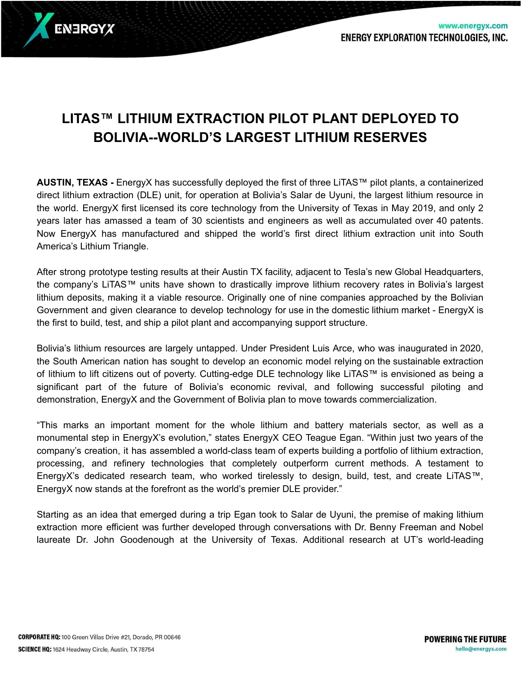

## **LITAS™ LITHIUM EXTRACTION PILOT PLANT DEPLOYED TO BOLIVIA--WORLD'S LARGEST LITHIUM RESERVES**

**AUSTIN, TEXAS -** EnergyX has successfully deployed the first of three LiTAS™ pilot plants, a containerized direct lithium extraction (DLE) unit, for operation at Bolivia's Salar de Uyuni, the largest lithium resource in the world. EnergyX first licensed its core technology from the University of Texas in May 2019, and only 2 years later has amassed a team of 30 scientists and engineers as well as accumulated over 40 patents. Now EnergyX has manufactured and shipped the world's first direct lithium extraction unit into South America's Lithium Triangle.

After strong prototype testing results at their Austin TX facility, adjacent to Tesla's new Global Headquarters, the company's LiTAS™ units have shown to drastically improve lithium recovery rates in Bolivia's largest lithium deposits, making it a viable resource. Originally one of nine companies approached by the Bolivian Government and given clearance to develop technology for use in the domestic lithium market - EnergyX is the first to build, test, and ship a pilot plant and accompanying support structure.

Bolivia's lithium resources are largely untapped. Under President Luis Arce, who was inaugurated in 2020, the South American nation has sought to develop an economic model relying on the sustainable extraction of lithium to lift citizens out of poverty. Cutting-edge DLE technology like LiTAS™ is envisioned as being a significant part of the future of Bolivia's economic revival, and following successful piloting and demonstration, EnergyX and the Government of Bolivia plan to move towards commercialization.

"This marks an important moment for the whole lithium and battery materials sector, as well as a monumental step in EnergyX's evolution," states EnergyX CEO Teague Egan. "Within just two years of the company's creation, it has assembled a world-class team of experts building a portfolio of lithium extraction, processing, and refinery technologies that completely outperform current methods. A testament to EnergyX's dedicated research team, who worked tirelessly to design, build, test, and create LiTAS™, EnergyX now stands at the forefront as the world's premier DLE provider."

Starting as an idea that emerged during a trip Egan took to Salar de Uyuni, the premise of making lithium extraction more efficient was further developed through conversations with Dr. Benny Freeman and Nobel laureate Dr. John Goodenough at the University of Texas. Additional research at UT's world-leading